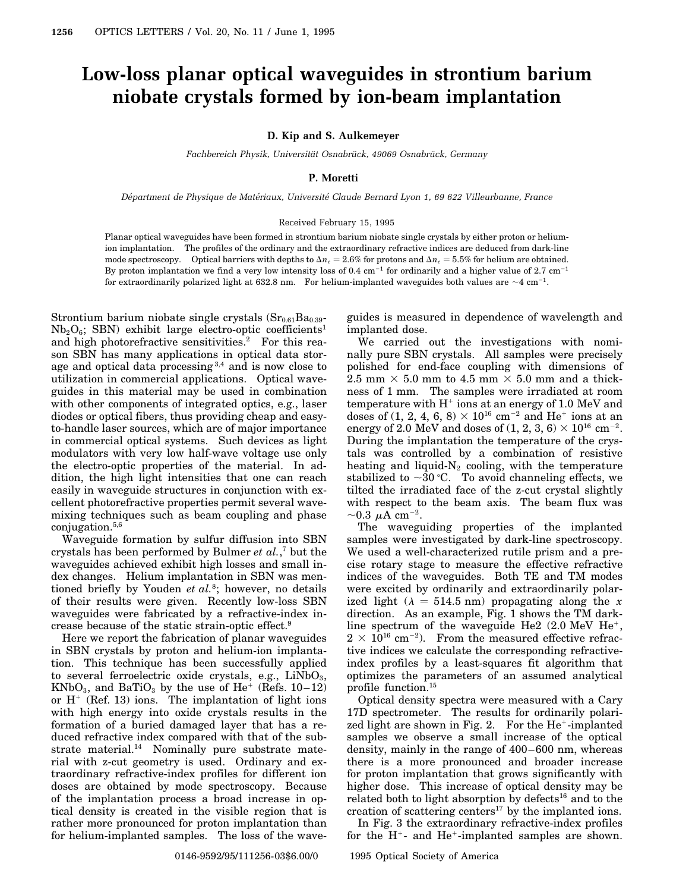## **Low-loss planar optical waveguides in strontium barium niobate crystals formed by ion-beam implantation**

**D. Kip and S. Aulkemeyer**

*Fachbereich Physik, Universität Osnabrück, 49069 Osnabrück, Germany* 

## **P. Moretti**

*Department de Physique de Mat ´ eriaux, Universit ´ e Claude Bernard Lyon 1, 69 622 Villeurbanne, France ´*

## Received February 15, 1995

Planar optical waveguides have been formed in strontium barium niobate single crystals by either proton or heliumion implantation. The profiles of the ordinary and the extraordinary refractive indices are deduced from dark-line mode spectroscopy. Optical barriers with depths to  $\Delta n_e = 2.6\%$  for protons and  $\Delta n_e = 5.5\%$  for helium are obtained. By proton implantation we find a very low intensity loss of 0.4  $cm^{-1}$  for ordinarily and a higher value of 2.7  $cm^{-1}$ for extraordinarily polarized light at 632.8 nm. For helium-implanted waveguides both values are  $\sim$ 4 cm<sup>-1</sup>.

Strontium barium niobate single crystals  $(Sr_{0.61}Ba_{0.39} Nb<sub>2</sub>O<sub>6</sub>$ ; SBN) exhibit large electro-optic coefficients<sup>1</sup> and high photorefractive sensitivities.<sup>2</sup> For this reason SBN has many applications in optical data storage and optical data processing  $3,4$  and is now close to utilization in commercial applications. Optical waveguides in this material may be used in combination with other components of integrated optics, e.g., laser diodes or optical fibers, thus providing cheap and easyto-handle laser sources, which are of major importance in commercial optical systems. Such devices as light modulators with very low half-wave voltage use only the electro-optic properties of the material. In addition, the high light intensities that one can reach easily in waveguide structures in conjunction with excellent photorefractive properties permit several wavemixing techniques such as beam coupling and phase conjugation.5,6

Waveguide formation by sulfur diffusion into SBN crystals has been performed by Bulmer *et al.*, <sup>7</sup> but the waveguides achieved exhibit high losses and small index changes. Helium implantation in SBN was mentioned briefly by Youden *et al.*8; however, no details of their results were given. Recently low-loss SBN waveguides were fabricated by a refractive-index increase because of the static strain-optic effect.9

Here we report the fabrication of planar waveguides in SBN crystals by proton and helium-ion implantation. This technique has been successfully applied to several ferroelectric oxide crystals, e.g.,  $LiNbO<sub>3</sub>$ ,  $KNbO_3$ , and BaTiO<sub>3</sub> by the use of He<sup>+</sup> (Refs. 10–12) or  $H^+$  (Ref. 13) ions. The implantation of light ions with high energy into oxide crystals results in the formation of a buried damaged layer that has a reduced refractive index compared with that of the substrate material.<sup>14</sup> Nominally pure substrate material with z-cut geometry is used. Ordinary and extraordinary refractive-index profiles for different ion doses are obtained by mode spectroscopy. Because of the implantation process a broad increase in optical density is created in the visible region that is rather more pronounced for proton implantation than for helium-implanted samples. The loss of the waveguides is measured in dependence of wavelength and implanted dose.

We carried out the investigations with nominally pure SBN crystals. All samples were precisely polished for end-face coupling with dimensions of 2.5 mm  $\times$  5.0 mm to 4.5 mm  $\times$  5.0 mm and a thickness of 1 mm. The samples were irradiated at room temperature with  $H^+$  ions at an energy of 1.0 MeV and doses of (1, 2, 4, 6, 8)  $\times$  10<sup>16</sup> cm<sup>-2</sup> and He<sup>+</sup> ions at an energy of 2.0 MeV and doses of  $(1, 2, 3, 6) \times 10^{16}$  cm<sup>-2</sup>. During the implantation the temperature of the crystals was controlled by a combination of resistive heating and liquid- $N_2$  cooling, with the temperature stabilized to  $\sim$ 30 °C. To avoid channeling effects, we tilted the irradiated face of the z-cut crystal slightly with respect to the beam axis. The beam flux was  $\sim$ 0.3  $\mu$ A cm<sup>-2</sup>.

The waveguiding properties of the implanted samples were investigated by dark-line spectroscopy. We used a well-characterized rutile prism and a precise rotary stage to measure the effective refractive indices of the waveguides. Both TE and TM modes were excited by ordinarily and extraordinarily polarized light ( $\lambda = 514.5$  nm) propagating along the *x* direction. As an example, Fig. 1 shows the TM darkline spectrum of the waveguide He2  $(2.0 \text{ MeV He}^+,$  $2 \times 10^{16}$  cm<sup>-2</sup>). From the measured effective refractive indices we calculate the corresponding refractiveindex profiles by a least-squares fit algorithm that optimizes the parameters of an assumed analytical profile function.15

Optical density spectra were measured with a Cary 17D spectrometer. The results for ordinarily polarized light are shown in Fig. 2. For the  $He^+$ -implanted samples we observe a small increase of the optical density, mainly in the range of 400–600 nm, whereas there is a more pronounced and broader increase for proton implantation that grows significantly with higher dose. This increase of optical density may be related both to light absorption by defects<sup>16</sup> and to the creation of scattering centers<sup>17</sup> by the implanted ions.

In Fig. 3 the extraordinary refractive-index profiles for the  $H^+$ - and  $He^+$ -implanted samples are shown.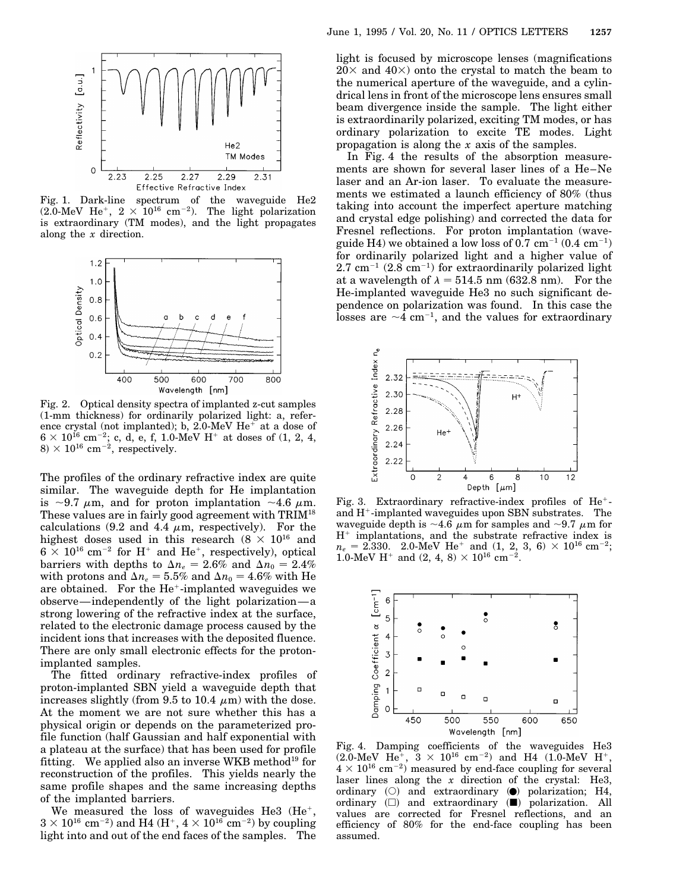

Fig. 1. Dark-line spectrum of the waveguide He2  $(2.0 \text{-MeV He}^+, 2 \times 10^{16} \text{ cm}^{-2})$ . The light polarization is extraordinary (TM modes), and the light propagates along the *x* direction.



Fig. 2. Optical density spectra of implanted z-cut samples (1-mm thickness) for ordinarily polarized light: a, reference crystal (not implanted); b, 2.0-MeV  $He^+$  at a dose of  $6 \times 10^{16}$  cm<sup>-2</sup>; c, d, e, f, 1.0-MeV H<sup>+</sup> at doses of (1, 2, 4,  $8 \times 10^{16}$  cm<sup>-2</sup>, respectively.

The profiles of the ordinary refractive index are quite similar. The waveguide depth for He implantation is  $\sim$ 9.7  $\mu$ m, and for proton implantation  $\sim$ 4.6  $\mu$ m. These values are in fairly good agreement with TRIM18 calculations (9.2 and 4.4  $\mu$ m, respectively). For the highest doses used in this research  $(8 \times 10^{16}$  and  $6 \times 10^{16}$  cm<sup>-2</sup> for H<sup>+</sup> and He<sup>+</sup>, respectively), optical barriers with depths to  $\Delta n_e = 2.6\%$  and  $\Delta n_0 = 2.4\%$ with protons and  $\Delta n_e = 5.5\%$  and  $\Delta n_0 = 4.6\%$  with He are obtained. For the He<sup>+</sup>-implanted waveguides we observe—independently of the light polarization—a strong lowering of the refractive index at the surface, related to the electronic damage process caused by the incident ions that increases with the deposited fluence. There are only small electronic effects for the protonimplanted samples.

The fitted ordinary refractive-index profiles of proton-implanted SBN yield a waveguide depth that increases slightly (from 9.5 to 10.4  $\mu$ m) with the dose. At the moment we are not sure whether this has a physical origin or depends on the parameterized profile function (half Gaussian and half exponential with a plateau at the surface) that has been used for profile fitting. We applied also an inverse WKB method<sup>19</sup> for reconstruction of the profiles. This yields nearly the same profile shapes and the same increasing depths of the implanted barriers.

We measured the loss of waveguides He3  $(He^+,$  $3 \times 10^{16}$  cm<sup>-2</sup>) and H4 (H<sup>+</sup>,  $4 \times 10^{16}$  cm<sup>-2</sup>) by coupling light into and out of the end faces of the samples. The light is focused by microscope lenses (magnifications  $20\times$  and  $40\times$ ) onto the crystal to match the beam to the numerical aperture of the waveguide, and a cylindrical lens in front of the microscope lens ensures small beam divergence inside the sample. The light either is extraordinarily polarized, exciting TM modes, or has ordinary polarization to excite TE modes. Light propagation is along the *x* axis of the samples.

In Fig. 4 the results of the absorption measurements are shown for several laser lines of a He–Ne laser and an Ar-ion laser. To evaluate the measurements we estimated a launch efficiency of 80% (thus taking into account the imperfect aperture matching and crystal edge polishing) and corrected the data for Fresnel reflections. For proton implantation (waveguide H4) we obtained a low loss of 0.7 cm<sup>-1</sup> (0.4 cm<sup>-1</sup>) for ordinarily polarized light and a higher value of  $2.7 \text{ cm}^{-1}$  (2.8 cm<sup>-1</sup>) for extraordinarily polarized light at a wavelength of  $\lambda = 514.5$  nm (632.8 nm). For the He-implanted waveguide He3 no such significant dependence on polarization was found. In this case the losses are  $\sim$ 4 cm<sup>-1</sup>, and the values for extraordinary



Fig. 3. Extraordinary refractive-index profiles of  $He^+$ and  $H^+$ -implanted waveguides upon SBN substrates. The waveguide depth is  $\sim$ 4.6  $\mu$ m for samples and  $\sim$ 9.7  $\mu$ m for  $H^+$  implantations, and the substrate refractive index is  $n_e\,=\,2.330.\quad 2.0\textrm{-MeV He}^+\;\;{\rm and}\;\,(1,\;2,\;3,\;6)\,\times\,10^{16}\;\rm cm^{-2};$ 1.0-MeV H<sup>+</sup> and (2, 4, 8)  $\times$  10<sup>16</sup> cm<sup>-2</sup>.



Fig. 4. Damping coefficients of the waveguides He3  $(2.0 \text{-MeV He}^+, \ \ 3 \times 10^{16} \text{ cm}^{-2})$  and H4  $(1.0 \text{-MeV He}^+, \ \ )$  $4 \times 10^{16}$  cm<sup>-2</sup>) measured by end-face coupling for several laser lines along the *x* direction of the crystal: He3, ordinary  $(O)$  and extraordinary  $\Theta$  polarization; H4, ordinary  $(\Box)$  and extraordinary  $(\blacksquare)$  polarization. All values are corrected for Fresnel reflections, and an efficiency of 80% for the end-face coupling has been assumed.